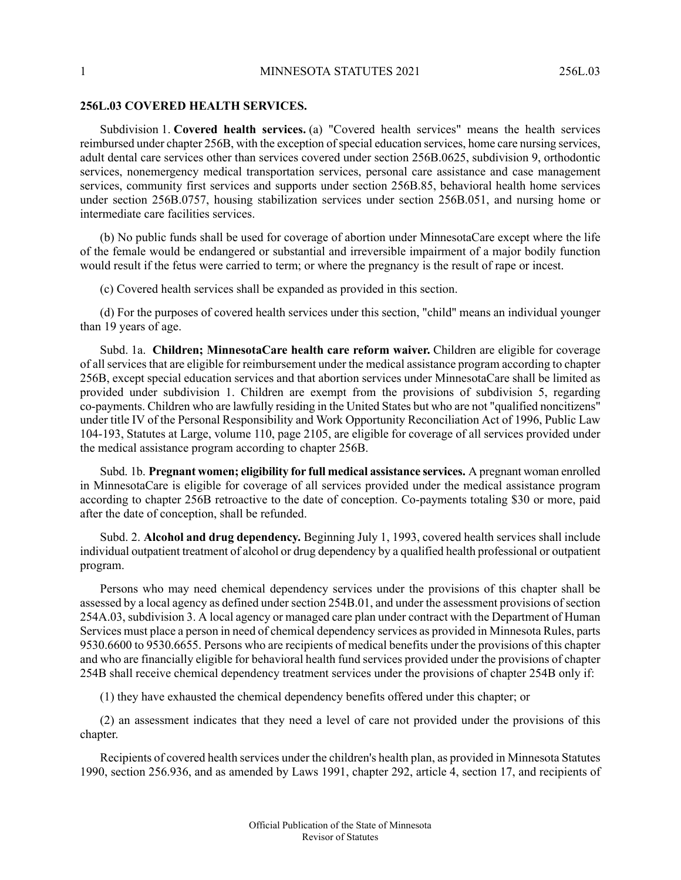## **256L.03 COVERED HEALTH SERVICES.**

Subdivision 1. **Covered health services.** (a) "Covered health services" means the health services reimbursed under chapter 256B, with the exception of special education services, home care nursing services, adult dental care services other than services covered under section 256B.0625, subdivision 9, orthodontic services, nonemergency medical transportation services, personal care assistance and case management services, community first services and supports under section 256B.85, behavioral health home services under section 256B.0757, housing stabilization services under section 256B.051, and nursing home or intermediate care facilities services.

(b) No public funds shall be used for coverage of abortion under MinnesotaCare except where the life of the female would be endangered or substantial and irreversible impairment of a major bodily function would result if the fetus were carried to term; or where the pregnancy is the result of rape or incest.

(c) Covered health services shall be expanded as provided in this section.

(d) For the purposes of covered health services under this section, "child" means an individual younger than 19 years of age.

Subd. 1a. **Children; MinnesotaCare health care reform waiver.** Children are eligible for coverage of all services that are eligible for reimbursement under the medical assistance program according to chapter 256B, except special education services and that abortion services under MinnesotaCare shall be limited as provided under subdivision 1. Children are exempt from the provisions of subdivision 5, regarding co-payments. Children who are lawfully residing in the United States but who are not "qualified noncitizens" under title IV of the Personal Responsibility and Work Opportunity Reconciliation Act of 1996, Public Law 104-193, Statutes at Large, volume 110, page 2105, are eligible for coverage of all services provided under the medical assistance program according to chapter 256B.

Subd. 1b. **Pregnant women; eligibility for full medical assistance services.** A pregnant woman enrolled in MinnesotaCare is eligible for coverage of all services provided under the medical assistance program according to chapter 256B retroactive to the date of conception. Co-payments totaling \$30 or more, paid after the date of conception, shall be refunded.

Subd. 2. **Alcohol and drug dependency.** Beginning July 1, 1993, covered health services shall include individual outpatient treatment of alcohol or drug dependency by a qualified health professional or outpatient program.

Persons who may need chemical dependency services under the provisions of this chapter shall be assessed by a local agency as defined under section 254B.01, and under the assessment provisions of section 254A.03, subdivision 3. A local agency or managed care plan under contract with the Department of Human Services must place a person in need of chemical dependency services as provided in Minnesota Rules, parts 9530.6600 to 9530.6655. Persons who are recipients of medical benefits under the provisions of this chapter and who are financially eligible for behavioral health fund services provided under the provisions of chapter 254B shall receive chemical dependency treatment services under the provisions of chapter 254B only if:

(1) they have exhausted the chemical dependency benefits offered under this chapter; or

(2) an assessment indicates that they need a level of care not provided under the provisions of this chapter.

Recipients of covered health services under the children's health plan, as provided in Minnesota Statutes 1990, section 256.936, and as amended by Laws 1991, chapter 292, article 4, section 17, and recipients of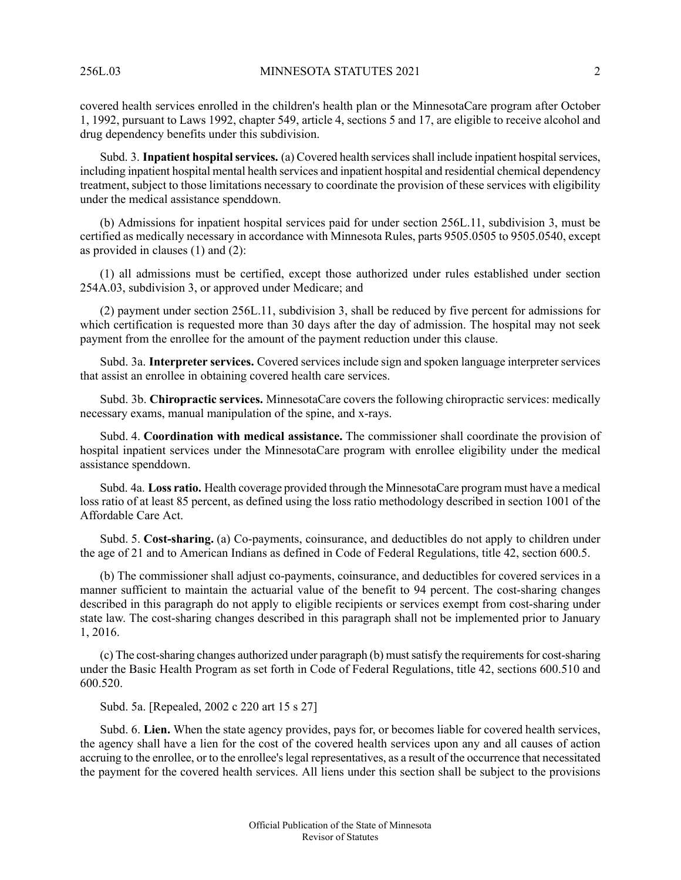covered health services enrolled in the children's health plan or the MinnesotaCare program after October 1, 1992, pursuant to Laws 1992, chapter 549, article 4, sections 5 and 17, are eligible to receive alcohol and drug dependency benefits under this subdivision.

Subd. 3. **Inpatient hospital services.** (a) Covered health services shall include inpatient hospital services, including inpatient hospital mental health services and inpatient hospital and residential chemical dependency treatment, subject to those limitations necessary to coordinate the provision of these services with eligibility under the medical assistance spenddown.

(b) Admissions for inpatient hospital services paid for under section 256L.11, subdivision 3, must be certified as medically necessary in accordance with Minnesota Rules, parts 9505.0505 to 9505.0540, except as provided in clauses (1) and (2):

(1) all admissions must be certified, except those authorized under rules established under section 254A.03, subdivision 3, or approved under Medicare; and

(2) payment under section 256L.11, subdivision 3, shall be reduced by five percent for admissions for which certification is requested more than 30 days after the day of admission. The hospital may not seek payment from the enrollee for the amount of the payment reduction under this clause.

Subd. 3a. **Interpreter services.** Covered services include sign and spoken language interpreter services that assist an enrollee in obtaining covered health care services.

Subd. 3b. **Chiropractic services.** MinnesotaCare covers the following chiropractic services: medically necessary exams, manual manipulation of the spine, and x-rays.

Subd. 4. **Coordination with medical assistance.** The commissioner shall coordinate the provision of hospital inpatient services under the MinnesotaCare program with enrollee eligibility under the medical assistance spenddown.

Subd. 4a. **Loss ratio.** Health coverage provided through the MinnesotaCare program must have a medical loss ratio of at least 85 percent, as defined using the loss ratio methodology described in section 1001 of the Affordable Care Act.

Subd. 5. **Cost-sharing.** (a) Co-payments, coinsurance, and deductibles do not apply to children under the age of 21 and to American Indians as defined in Code of Federal Regulations, title 42, section 600.5.

(b) The commissioner shall adjust co-payments, coinsurance, and deductibles for covered services in a manner sufficient to maintain the actuarial value of the benefit to 94 percent. The cost-sharing changes described in this paragraph do not apply to eligible recipients or services exempt from cost-sharing under state law. The cost-sharing changes described in this paragraph shall not be implemented prior to January 1, 2016.

 $(c)$  The cost-sharing changes authorized under paragraph  $(b)$  must satisfy the requirements for cost-sharing under the Basic Health Program as set forth in Code of Federal Regulations, title 42, sections 600.510 and 600.520.

Subd. 5a. [Repealed, 2002 c 220 art 15 s 27]

Subd. 6. **Lien.** When the state agency provides, pays for, or becomes liable for covered health services, the agency shall have a lien for the cost of the covered health services upon any and all causes of action accruing to the enrollee, or to the enrollee's legal representatives, as a result of the occurrence that necessitated the payment for the covered health services. All liens under this section shall be subject to the provisions